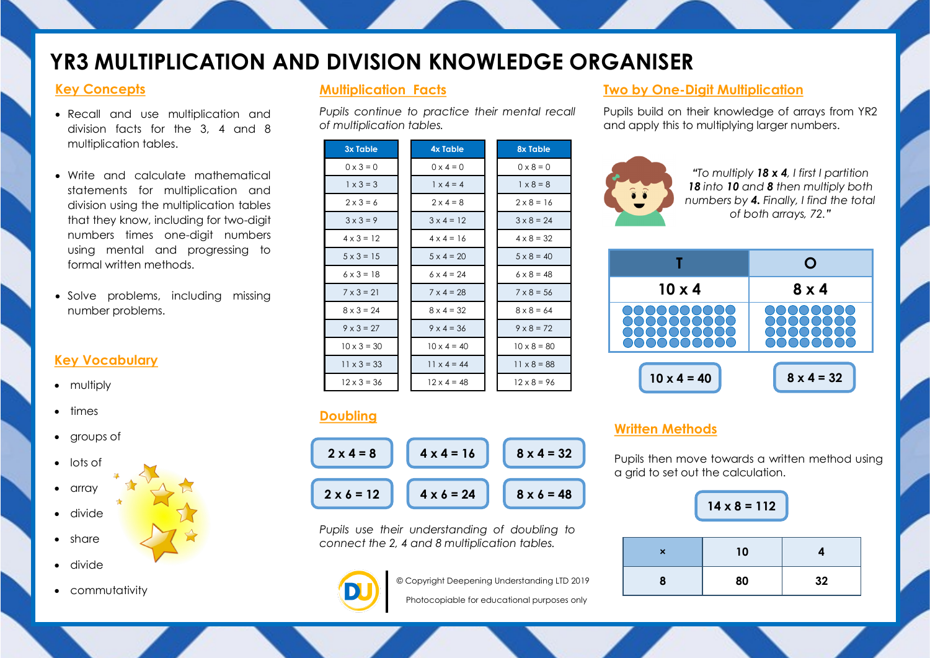# **YR3 MULTIPLICATION AND DIVISION KNOWLEDGE ORGANISER**

## **Key Concepts**

- Recall and use multiplication and division facts for the 3, 4 and 8 multiplication tables.
- Write and calculate mathematical statements for multiplication and division using the multiplication tables that they know, including for two-digit numbers times one-digit numbers using mental and progressing to formal written methods.
- Solve problems, including missing number problems.

## **Key Vocabulary**

- multiply
- times
- groups of
- lots of  $\bullet$  array divide
- share
- divide
- commutativity

## **Multiplication Facts**

*Pupils continue to practice their mental recall of multiplication tables.*

| <b>3x Table</b>    | <b>4x Table</b>    | 8x Table           |
|--------------------|--------------------|--------------------|
| $0 \times 3 = 0$   | $0 \times 4 = 0$   | $0 \times 8 = 0$   |
| $1 \times 3 = 3$   | $1 \times 4 = 4$   | $1 \times 8 = 8$   |
| $2 \times 3 = 6$   | $2 \times 4 = 8$   | $2 \times 8 = 16$  |
| $3 \times 3 = 9$   | $3 \times 4 = 12$  | $3 \times 8 = 24$  |
| $4 \times 3 = 12$  | $4 \times 4 = 16$  | $4 \times 8 = 32$  |
| $5 \times 3 = 15$  | $5 \times 4 = 20$  | $5 \times 8 = 40$  |
| $6 \times 3 = 18$  | $6 \times 4 = 24$  | $6 \times 8 = 48$  |
| $7 \times 3 = 21$  | $7 \times 4 = 28$  | $7 \times 8 = 56$  |
| $8 \times 3 = 24$  | $8 \times 4 = 32$  | $8 \times 8 = 64$  |
| $9 \times 3 = 27$  | $9 \times 4 = 36$  | $9 \times 8 = 72$  |
| $10 \times 3 = 30$ | $10 \times 4 = 40$ | $10 \times 8 = 80$ |
| $11 \times 3 = 33$ | $11 \times 4 = 44$ | $11 \times 8 = 88$ |
| $12 \times 3 = 36$ | $12 \times 4 = 48$ | $12 \times 8 = 96$ |

## **Doubling**



*Pupils use their understanding of doubling to connect the 2, 4 and 8 multiplication tables.*



© Copyright Deepening Understanding LTD 2019

Photocopiable for educational purposes only

## **Two by One-Digit Multiplication**

Pupils build on their knowledge of arrays from YR2 and apply this to multiplying larger numbers.







# **Written Methods**

Pupils then move towards a written method using a grid to set out the calculation.

| $14 \times 8 = 112$ |    |    |
|---------------------|----|----|
| ×                   | 10 |    |
| 8                   | 80 | 32 |